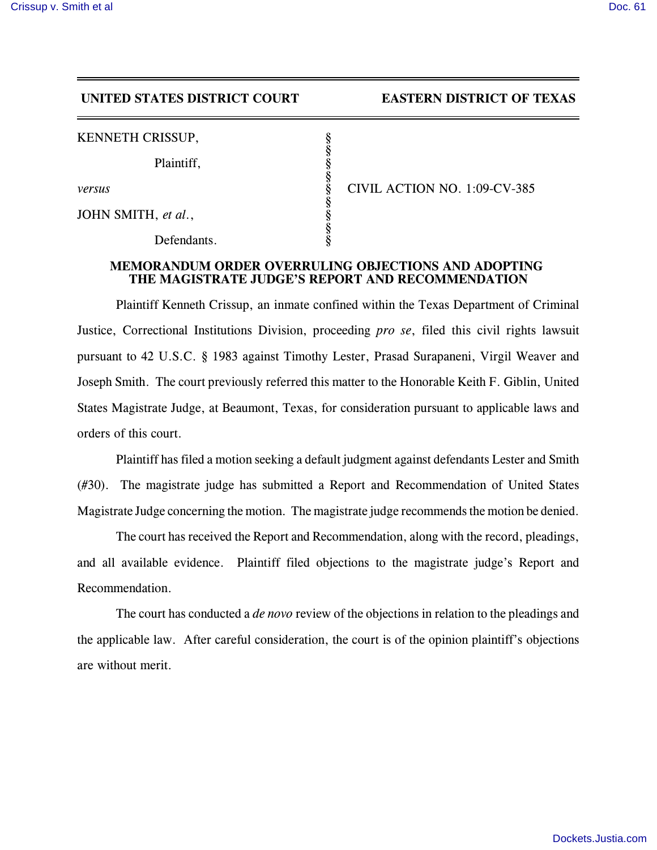## **UNITED STATES DISTRICT COURT EASTERN DISTRICT OF TEXAS**

| KENNETH CRISSUP, |  |
|------------------|--|
|------------------|--|

Plaintiff,

JOHN SMITH, *et al.*,

Defendants.

*versus* § CIVIL ACTION NO. 1:09-CV-385

## **MEMORANDUM ORDER OVERRULING OBJECTIONS AND ADOPTING THE MAGISTRATE JUDGE'S REPORT AND RECOMMENDATION**

§

§

§

§

Plaintiff Kenneth Crissup, an inmate confined within the Texas Department of Criminal Justice, Correctional Institutions Division, proceeding *pro se*, filed this civil rights lawsuit pursuant to 42 U.S.C. § 1983 against Timothy Lester, Prasad Surapaneni, Virgil Weaver and Joseph Smith. The court previously referred this matter to the Honorable Keith F. Giblin, United States Magistrate Judge, at Beaumont, Texas, for consideration pursuant to applicable laws and orders of this court.

Plaintiff has filed a motion seeking a default judgment against defendants Lester and Smith (#30). The magistrate judge has submitted a Report and Recommendation of United States Magistrate Judge concerning the motion. The magistrate judge recommends the motion be denied.

The court has received the Report and Recommendation, along with the record, pleadings, and all available evidence. Plaintiff filed objections to the magistrate judge's Report and Recommendation.

The court has conducted a *de novo* review of the objections in relation to the pleadings and the applicable law. After careful consideration, the court is of the opinion plaintiff's objections are without merit.